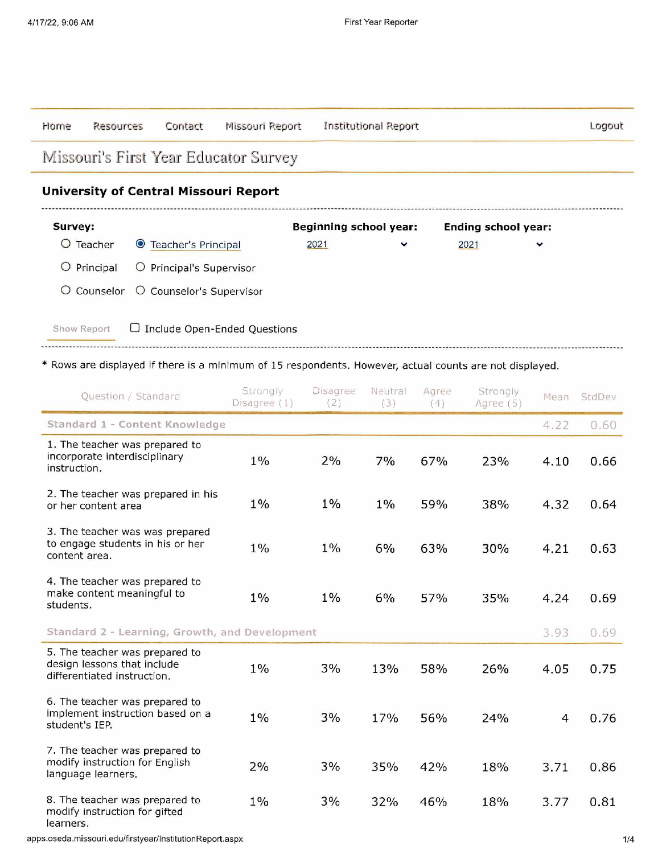| Horne                                                                                    | <b>Resources</b>    | Contact                                      | Missouri Report                                                                                                                                |                               | <b>Institutional Report</b> |              |                            |      | Logout |
|------------------------------------------------------------------------------------------|---------------------|----------------------------------------------|------------------------------------------------------------------------------------------------------------------------------------------------|-------------------------------|-----------------------------|--------------|----------------------------|------|--------|
|                                                                                          |                     |                                              | Missouri's First Year Educator Survey                                                                                                          |                               |                             |              |                            |      |        |
|                                                                                          |                     | <b>University of Central Missouri Report</b> |                                                                                                                                                |                               |                             |              |                            |      |        |
| Survey:                                                                                  |                     |                                              |                                                                                                                                                | <b>Beginning school year:</b> |                             |              | <b>Ending school year:</b> |      |        |
| $O$ Teacher                                                                              |                     | <b>O</b> Teacher's Principal                 |                                                                                                                                                | 2021                          | ◡                           |              | 2021                       |      |        |
|                                                                                          | $O$ Principal       | O Principal's Supervisor                     |                                                                                                                                                |                               |                             |              |                            |      |        |
| O                                                                                        | Counselor           | O Counselor's Supervisor                     |                                                                                                                                                |                               |                             |              |                            |      |        |
| Show Report                                                                              |                     |                                              | $\Box$ Include Open-Ended Questions<br>* Rows are displayed if there is a minimum of 15 respondents. However, actual counts are not displayed. |                               |                             |              |                            |      |        |
|                                                                                          | Ouestion / Standard |                                              | Strongly<br>Disagree (1)                                                                                                                       | <b>Disagree</b><br>(2)        | Neutral<br>(3)              | Agree<br>(4) | Strongly<br>Agree (5)      | Mean | StdDev |
|                                                                                          |                     | Standard 1 - Content Knowledge               |                                                                                                                                                |                               |                             |              |                            | 4.22 | 0.60   |
| 1. The teacher was prepared to<br>incorporate interdisciplinary<br>$1\%$<br>instruction. |                     |                                              | 2%                                                                                                                                             | 7%                            | 67%                         | 23%          | 4.10                       | 0.66 |        |
| 2. The teacher was prepared in his<br>$1\%$<br>or her content area                       |                     |                                              |                                                                                                                                                | $1\%$                         | $1\%$                       | 59%          | 38%                        | 4.32 | 0.64   |

| instruction.                                                                                 | $1\sqrt{0}$ | 270   | $7\%$ | $O/$ $\%$ | 23% | 4.IU | U.OO |
|----------------------------------------------------------------------------------------------|-------------|-------|-------|-----------|-----|------|------|
| 2. The teacher was prepared in his<br>or her content area                                    | $1\%$       | $1\%$ | $1\%$ | 59%       | 38% | 4.32 | 0.64 |
| 3. The teacher was was prepared<br>to engage students in his or her<br>content area.         | $1\%$       | $1\%$ | 6%    | 63%       | 30% | 4.21 | 0.63 |
| 4. The teacher was prepared to<br>make content meaningful to<br>students.                    | $1\%$       | $1\%$ | 6%    | 57%       | 35% | 4.24 | 0.69 |
| Standard 2 - Learning, Growth, and Development                                               |             |       |       |           |     |      | 0.69 |
| 5. The teacher was prepared to<br>design lessons that include<br>differentiated instruction. | $1\%$       | 3%    | 13%   | 58%       | 26% | 4.05 | 0.75 |
| 6. The teacher was prepared to<br>implement instruction based on a<br>student's IEP.         | $1\%$       | 3%    | 17%   | 56%       | 24% | 4    | 0.76 |
| 7. The teacher was prepared to<br>modify instruction for English<br>language learners.       | 2%          | 3%    | 35%   | 42%       | 18% | 3.71 | 0.86 |
| 8. The teacher was prepared to<br>modify instruction for gifted<br>learners.                 | $1\%$       | 3%    | 32%   | 46%       | 18% | 3.77 | 0.81 |

apps.oseda.missouti.edu/firstyear/lnstitutionReport.aspx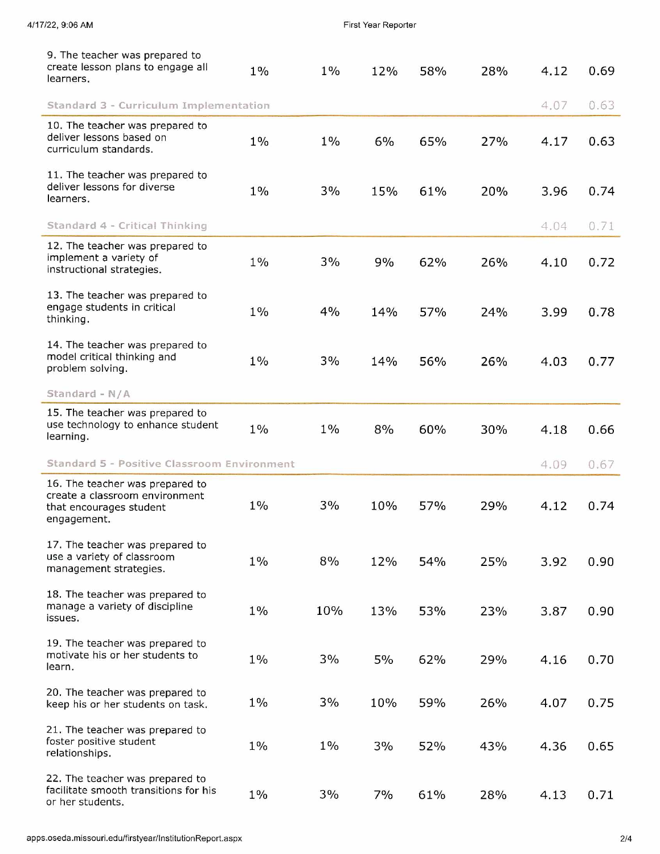| 9. The teacher was prepared to<br>create lesson plans to engage all<br>learners.                            | $1\%$ | $1\%$ | 12% | 58% | 28% | 4.12 | 0.69 |
|-------------------------------------------------------------------------------------------------------------|-------|-------|-----|-----|-----|------|------|
| Standard 3 - Curriculum Implementation                                                                      |       |       |     |     |     | 4.07 | 0.63 |
| 10. The teacher was prepared to<br>deliver lessons based on<br>curriculum standards.                        | $1\%$ | $1\%$ | 6%  | 65% | 27% | 4.17 | 0.63 |
| 11. The teacher was prepared to<br>deliver lessons for diverse<br>learners.                                 | $1\%$ | 3%    | 15% | 61% | 20% | 3.96 | 0.74 |
| Standard 4 - Critical Thinking                                                                              |       |       |     |     |     | 4.04 | 0.71 |
| 12. The teacher was prepared to<br>implement a variety of<br>instructional strategies.                      | $1\%$ | 3%    | 9%  | 62% | 26% | 4.10 | 0.72 |
| 13. The teacher was prepared to<br>engage students in critical<br>thinking.                                 | $1\%$ | 4%    | 14% | 57% | 24% | 3.99 | 0.78 |
| 14. The teacher was prepared to<br>model critical thinking and<br>problem solving.                          | $1\%$ | 3%    | 14% | 56% | 26% | 4.03 | 0.77 |
| Standard - N/A                                                                                              |       |       |     |     |     |      |      |
| 15. The teacher was prepared to<br>use technology to enhance student<br>learning.                           | $1\%$ | $1\%$ | 8%  | 60% | 30% | 4.18 | 0.66 |
| Standard 5 - Positive Classroom Environment                                                                 |       |       |     |     |     | 4.09 | 0.67 |
| 16. The teacher was prepared to<br>create a classroom environment<br>that encourages student<br>engagement. | $1\%$ | 3%    | 10% | 57% | 29% | 4.12 | 0.74 |
| 17. The teacher was prepared to<br>use a variety of classroom<br>management strategies.                     | $1\%$ | 8%    | 12% | 54% | 25% | 3.92 | 0.90 |
| 18. The teacher was prepared to<br>manage a variety of discipline<br>issues.                                | $1\%$ | 10%   | 13% | 53% | 23% | 3.87 | 0.90 |
| 19. The teacher was prepared to<br>motivate his or her students to<br>learn.                                | $1\%$ | 3%    | 5%  | 62% | 29% | 4.16 | 0.70 |
| 20. The teacher was prepared to<br>keep his or her students on task.                                        | $1\%$ | 3%    | 10% | 59% | 26% | 4.07 | 0.75 |
| 21. The teacher was prepared to<br>foster positive student<br>relationships.                                | $1\%$ | $1\%$ | 3%  | 52% | 43% | 4.36 | 0.65 |
| 22. The teacher was prepared to<br>facilitate smooth transitions for his<br>or her students.                | $1\%$ | 3%    | 7%  | 61% | 28% | 4.13 | 0.71 |

4/17/22, 9:06 AM **First Year Reporter**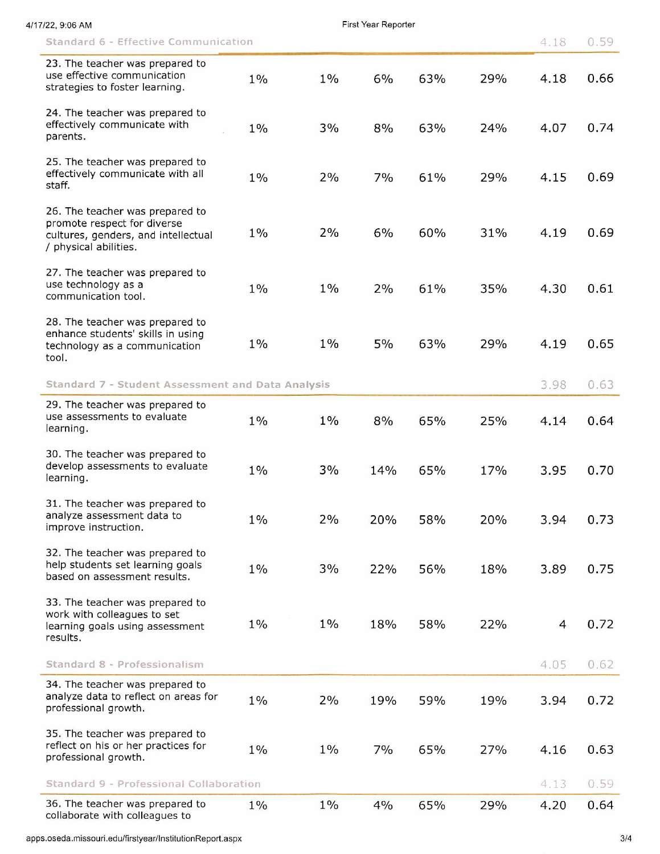| 7/22, 9:06 AM                                                                                                                  |       |       | First Year Reporter |     |     |      |      |
|--------------------------------------------------------------------------------------------------------------------------------|-------|-------|---------------------|-----|-----|------|------|
| Standard 6 - Effective Communication                                                                                           |       |       |                     |     |     | 4.18 | 0.59 |
| 23. The teacher was prepared to<br>use effective communication<br>strategies to foster learning.                               | $1\%$ | $1\%$ | 6%                  | 63% | 29% | 4.18 | 0.66 |
| 24. The teacher was prepared to<br>effectively communicate with<br>parents.                                                    | $1\%$ | 3%    | 8%                  | 63% | 24% | 4.07 | 0.74 |
| 25. The teacher was prepared to<br>effectively communicate with all<br>staff.                                                  | $1\%$ | 2%    | 7%                  | 61% | 29% | 4.15 | 0.69 |
| 26. The teacher was prepared to<br>promote respect for diverse<br>cultures, genders, and intellectual<br>/ physical abilities. | $1\%$ | 2%    | 6%                  | 60% | 31% | 4.19 | 0.69 |
| 27. The teacher was prepared to<br>use technology as a<br>communication tool.                                                  | $1\%$ | $1\%$ | 2%                  | 61% | 35% | 4.30 | 0.61 |
| 28. The teacher was prepared to<br>enhance students' skills in using<br>technology as a communication<br>tool.                 | $1\%$ | $1\%$ | 5%                  | 63% | 29% | 4.19 | 0.65 |
| Standard 7 - Student Assessment and Data Analysis                                                                              |       |       |                     |     |     | 3.98 | 0.63 |
| 29. The teacher was prepared to<br>use assessments to evaluate<br>learning.                                                    | $1\%$ | $1\%$ | 8%                  | 65% | 25% | 4.14 | 0.64 |
| 30. The teacher was prepared to<br>develop assessments to evaluate<br>learning.                                                | $1\%$ | 3%    | 14%                 | 65% | 17% | 3.95 | 0.70 |
| 31. The teacher was prepared to<br>analyze assessment data to<br>improve instruction.                                          | $1\%$ | 2%    | 20%                 | 58% | 20% | 3.94 | 0.73 |
| 32. The teacher was prepared to<br>help students set learning goals<br>based on assessment results.                            | $1\%$ | 3%    | 22%                 | 56% | 18% | 3.89 | 0.75 |
| 33. The teacher was prepared to<br>work with colleagues to set<br>learning goals using assessment<br>results.                  | $1\%$ | $1\%$ | 18%                 | 58% | 22% | 4    | 0.72 |
| Standard 8 - Professionalism                                                                                                   |       |       |                     |     |     | 4.05 | 0.62 |
| 34. The teacher was prepared to<br>analyze data to reflect on areas for<br>professional growth.                                | $1\%$ | 2%    | 19%                 | 59% | 19% | 3.94 | 0.72 |
| 35. The teacher was prepared to<br>reflect on his or her practices for<br>professional growth.                                 | $1\%$ | $1\%$ | 7%                  | 65% | 27% | 4.16 | 0.63 |
| Standard 9 - Professional Collaboration                                                                                        |       |       |                     |     |     | 4.13 | 0.59 |
| 36. The teacher was prepared to<br>collaborate with colleagues to                                                              | $1\%$ | $1\%$ | 4%                  | 65% | 29% | 4.20 | 0.64 |

apps.oseda.missouri.edu/firstyear/lnstitutionReport.aspx 3/4